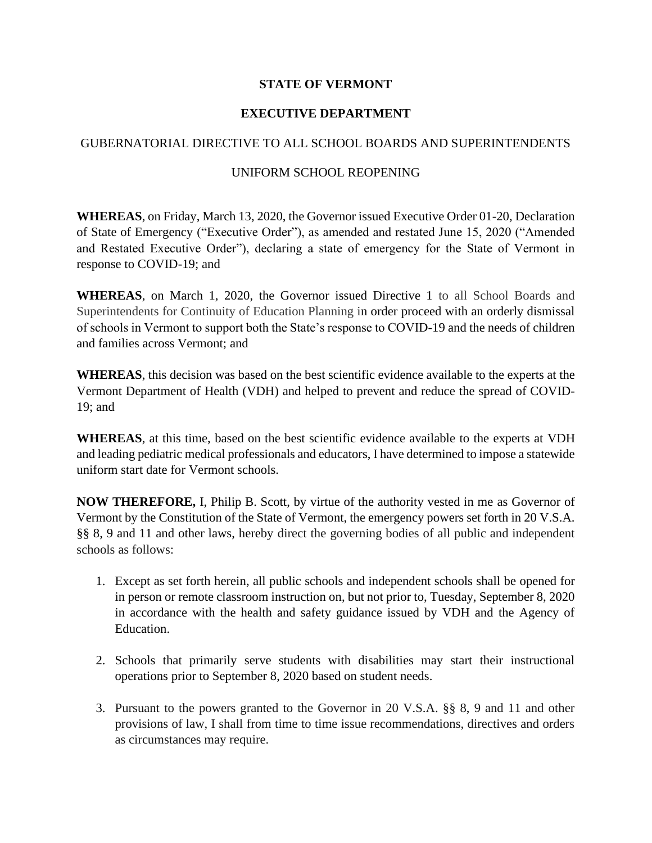## **STATE OF VERMONT**

## **EXECUTIVE DEPARTMENT**

## GUBERNATORIAL DIRECTIVE TO ALL SCHOOL BOARDS AND SUPERINTENDENTS

## UNIFORM SCHOOL REOPENING

**WHEREAS**, on Friday, March 13, 2020, the Governor issued Executive Order 01-20, Declaration of State of Emergency ("Executive Order"), as amended and restated June 15, 2020 ("Amended and Restated Executive Order"), declaring a state of emergency for the State of Vermont in response to COVID-19; and

**WHEREAS**, on March 1, 2020, the Governor issued Directive 1 to all School Boards and Superintendents for Continuity of Education Planning in order proceed with an orderly dismissal of schools in Vermont to support both the State's response to COVID-19 and the needs of children and families across Vermont; and

**WHEREAS**, this decision was based on the best scientific evidence available to the experts at the Vermont Department of Health (VDH) and helped to prevent and reduce the spread of COVID-19; and

**WHEREAS**, at this time, based on the best scientific evidence available to the experts at VDH and leading pediatric medical professionals and educators, I have determined to impose a statewide uniform start date for Vermont schools.

**NOW THEREFORE,** I, Philip B. Scott, by virtue of the authority vested in me as Governor of Vermont by the Constitution of the State of Vermont, the emergency powers set forth in 20 V.S.A. §§ 8, 9 and 11 and other laws, hereby direct the governing bodies of all public and independent schools as follows:

- 1. Except as set forth herein, all public schools and independent schools shall be opened for in person or remote classroom instruction on, but not prior to, Tuesday, September 8, 2020 in accordance with the health and safety guidance issued by VDH and the Agency of Education.
- 2. Schools that primarily serve students with disabilities may start their instructional operations prior to September 8, 2020 based on student needs.
- 3. Pursuant to the powers granted to the Governor in 20 V.S.A. §§ 8, 9 and 11 and other provisions of law, I shall from time to time issue recommendations, directives and orders as circumstances may require.